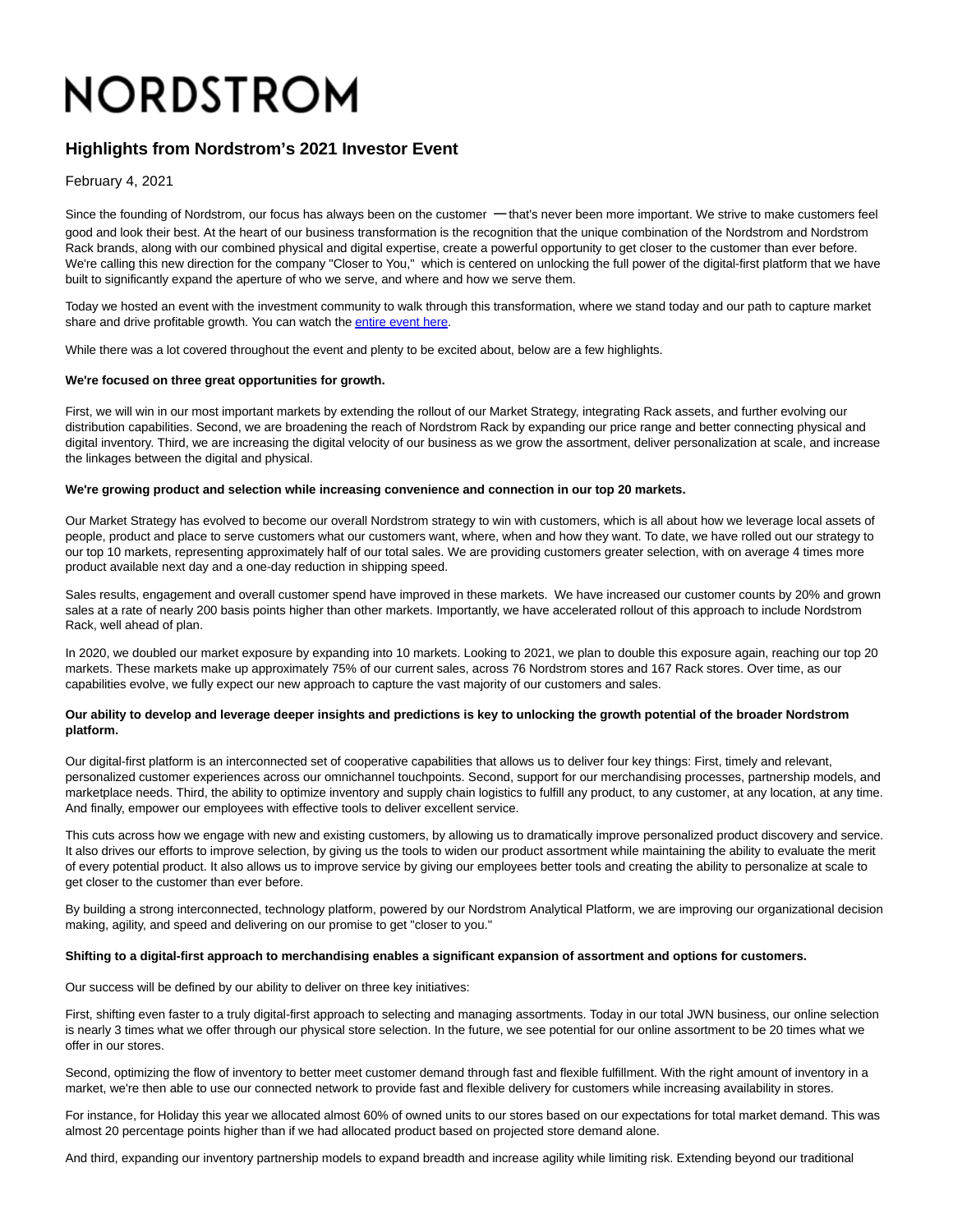# NORDSTROM

# **Highlights from Nordstrom's 2021 Investor Event**

February 4, 2021

Since the founding of Nordstrom, our focus has always been on the customer — that's never been more important. We strive to make customers feel good and look their best. At the heart of our business transformation is the recognition that the unique combination of the Nordstrom and Nordstrom Rack brands, along with our combined physical and digital expertise, create a powerful opportunity to get closer to the customer than ever before. We're calling this new direction for the company "Closer to You," which is centered on unlocking the full power of the digital-first platform that we have built to significantly expand the aperture of who we serve, and where and how we serve them.

Today we hosted an event with the investment community to walk through this transformation, where we stand today and our path to capture market share and drive profitable growth. You can watch th[e entire event here.](https://press.nordstrom.com/events/event-details/nordstrom-investor-event) 

While there was a lot covered throughout the event and plenty to be excited about, below are a few highlights.

# **We're focused on three great opportunities for growth.**

First, we will win in our most important markets by extending the rollout of our Market Strategy, integrating Rack assets, and further evolving our distribution capabilities. Second, we are broadening the reach of Nordstrom Rack by expanding our price range and better connecting physical and digital inventory. Third, we are increasing the digital velocity of our business as we grow the assortment, deliver personalization at scale, and increase the linkages between the digital and physical.

#### **We're growing product and selection while increasing convenience and connection in our top 20 markets.**

Our Market Strategy has evolved to become our overall Nordstrom strategy to win with customers, which is all about how we leverage local assets of people, product and place to serve customers what our customers want, where, when and how they want. To date, we have rolled out our strategy to our top 10 markets, representing approximately half of our total sales. We are providing customers greater selection, with on average 4 times more product available next day and a one-day reduction in shipping speed.

Sales results, engagement and overall customer spend have improved in these markets. We have increased our customer counts by 20% and grown sales at a rate of nearly 200 basis points higher than other markets. Importantly, we have accelerated rollout of this approach to include Nordstrom Rack, well ahead of plan.

In 2020, we doubled our market exposure by expanding into 10 markets. Looking to 2021, we plan to double this exposure again, reaching our top 20 markets. These markets make up approximately 75% of our current sales, across 76 Nordstrom stores and 167 Rack stores. Over time, as our capabilities evolve, we fully expect our new approach to capture the vast majority of our customers and sales.

# **Our ability to develop and leverage deeper insights and predictions is key to unlocking the growth potential of the broader Nordstrom platform.**

Our digital-first platform is an interconnected set of cooperative capabilities that allows us to deliver four key things: First, timely and relevant, personalized customer experiences across our omnichannel touchpoints. Second, support for our merchandising processes, partnership models, and marketplace needs. Third, the ability to optimize inventory and supply chain logistics to fulfill any product, to any customer, at any location, at any time. And finally, empower our employees with effective tools to deliver excellent service.

This cuts across how we engage with new and existing customers, by allowing us to dramatically improve personalized product discovery and service. It also drives our efforts to improve selection, by giving us the tools to widen our product assortment while maintaining the ability to evaluate the merit of every potential product. It also allows us to improve service by giving our employees better tools and creating the ability to personalize at scale to get closer to the customer than ever before.

By building a strong interconnected, technology platform, powered by our Nordstrom Analytical Platform, we are improving our organizational decision making, agility, and speed and delivering on our promise to get "closer to you."

#### **Shifting to a digital-first approach to merchandising enables a significant expansion of assortment and options for customers.**

Our success will be defined by our ability to deliver on three key initiatives:

First, shifting even faster to a truly digital-first approach to selecting and managing assortments. Today in our total JWN business, our online selection is nearly 3 times what we offer through our physical store selection. In the future, we see potential for our online assortment to be 20 times what we offer in our stores.

Second, optimizing the flow of inventory to better meet customer demand through fast and flexible fulfillment. With the right amount of inventory in a market, we're then able to use our connected network to provide fast and flexible delivery for customers while increasing availability in stores.

For instance, for Holiday this year we allocated almost 60% of owned units to our stores based on our expectations for total market demand. This was almost 20 percentage points higher than if we had allocated product based on projected store demand alone.

And third, expanding our inventory partnership models to expand breadth and increase agility while limiting risk. Extending beyond our traditional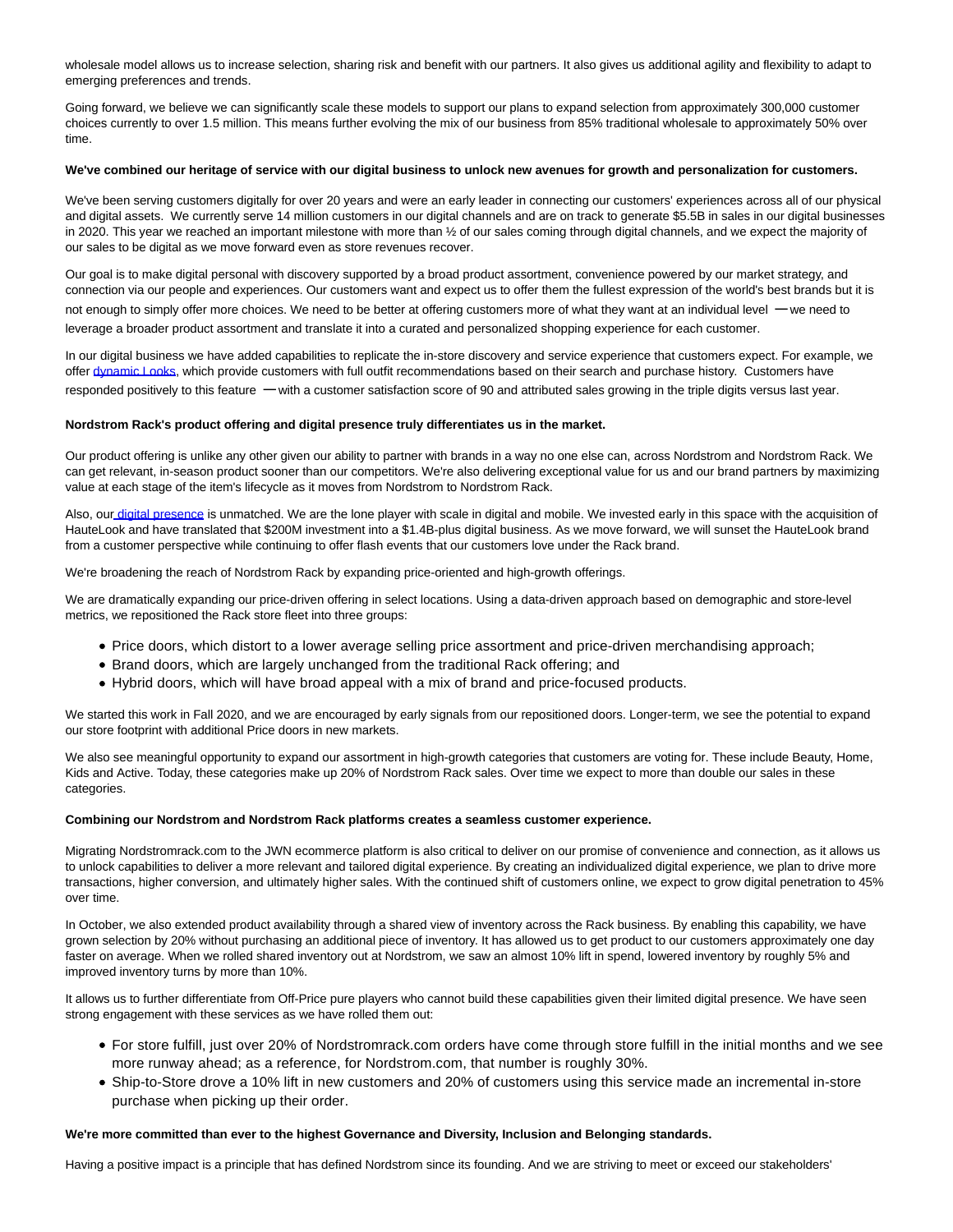wholesale model allows us to increase selection, sharing risk and benefit with our partners. It also gives us additional agility and flexibility to adapt to emerging preferences and trends.

Going forward, we believe we can significantly scale these models to support our plans to expand selection from approximately 300,000 customer choices currently to over 1.5 million. This means further evolving the mix of our business from 85% traditional wholesale to approximately 50% over time.

# **We've combined our heritage of service with our digital business to unlock new avenues for growth and personalization for customers.**

We've been serving customers digitally for over 20 years and were an early leader in connecting our customers' experiences across all of our physical and digital assets. We currently serve 14 million customers in our digital channels and are on track to generate \$5.5B in sales in our digital businesses in 2020. This year we reached an important milestone with more than 1/2 of our sales coming through digital channels, and we expect the majority of our sales to be digital as we move forward even as store revenues recover.

Our goal is to make digital personal with discovery supported by a broad product assortment, convenience powered by our market strategy, and connection via our people and experiences. Our customers want and expect us to offer them the fullest expression of the world's best brands but it is not enough to simply offer more choices. We need to be better at offering customers more of what they want at an individual level — we need to leverage a broader product assortment and translate it into a curated and personalized shopping experience for each customer.

In our digital business we have added capabilities to replicate the in-store discovery and service experience that customers expect. For example, we offer [dynamic Looks,](https://www.nordstrom.com/yourlook) which provide customers with full outfit recommendations based on their search and purchase history. Customers have responded positively to this feature — with a customer satisfaction score of 90 and attributed sales growing in the triple digits versus last year.

#### **Nordstrom Rack's product offering and digital presence truly differentiates us in the market.**

Our product offering is unlike any other given our ability to partner with brands in a way no one else can, across Nordstrom and Nordstrom Rack. We can get relevant, in-season product sooner than our competitors. We're also delivering exceptional value for us and our brand partners by maximizing value at each stage of the item's lifecycle as it moves from Nordstrom to Nordstrom Rack.

Also, ou[r digital presence i](https://www.nordstromrack.com/promo/NordstromRackApp)s unmatched. We are the lone player with scale in digital and mobile. We invested early in this space with the acquisition of HauteLook and have translated that \$200M investment into a \$1.4B-plus digital business. As we move forward, we will sunset the HauteLook brand from a customer perspective while continuing to offer flash events that our customers love under the Rack brand.

We're broadening the reach of Nordstrom Rack by expanding price-oriented and high-growth offerings.

We are dramatically expanding our price-driven offering in select locations. Using a data-driven approach based on demographic and store-level metrics, we repositioned the Rack store fleet into three groups:

- Price doors, which distort to a lower average selling price assortment and price-driven merchandising approach;
- Brand doors, which are largely unchanged from the traditional Rack offering; and
- Hybrid doors, which will have broad appeal with a mix of brand and price-focused products.

We started this work in Fall 2020, and we are encouraged by early signals from our repositioned doors. Longer-term, we see the potential to expand our store footprint with additional Price doors in new markets.

We also see meaningful opportunity to expand our assortment in high-growth categories that customers are voting for. These include Beauty, Home, Kids and Active. Today, these categories make up 20% of Nordstrom Rack sales. Over time we expect to more than double our sales in these categories.

# **Combining our Nordstrom and Nordstrom Rack platforms creates a seamless customer experience.**

Migrating Nordstromrack.com to the JWN ecommerce platform is also critical to deliver on our promise of convenience and connection, as it allows us to unlock capabilities to deliver a more relevant and tailored digital experience. By creating an individualized digital experience, we plan to drive more transactions, higher conversion, and ultimately higher sales. With the continued shift of customers online, we expect to grow digital penetration to 45% over time.

In October, we also extended product availability through a shared view of inventory across the Rack business. By enabling this capability, we have grown selection by 20% without purchasing an additional piece of inventory. It has allowed us to get product to our customers approximately one day faster on average. When we rolled shared inventory out at Nordstrom, we saw an almost 10% lift in spend, lowered inventory by roughly 5% and improved inventory turns by more than 10%.

It allows us to further differentiate from Off-Price pure players who cannot build these capabilities given their limited digital presence. We have seen strong engagement with these services as we have rolled them out:

- For store fulfill, just over 20% of Nordstromrack.com orders have come through store fulfill in the initial months and we see more runway ahead; as a reference, for Nordstrom.com, that number is roughly 30%.
- Ship-to-Store drove a 10% lift in new customers and 20% of customers using this service made an incremental in-store purchase when picking up their order.

# **We're more committed than ever to the highest Governance and Diversity, Inclusion and Belonging standards.**

Having a positive impact is a principle that has defined Nordstrom since its founding. And we are striving to meet or exceed our stakeholders'